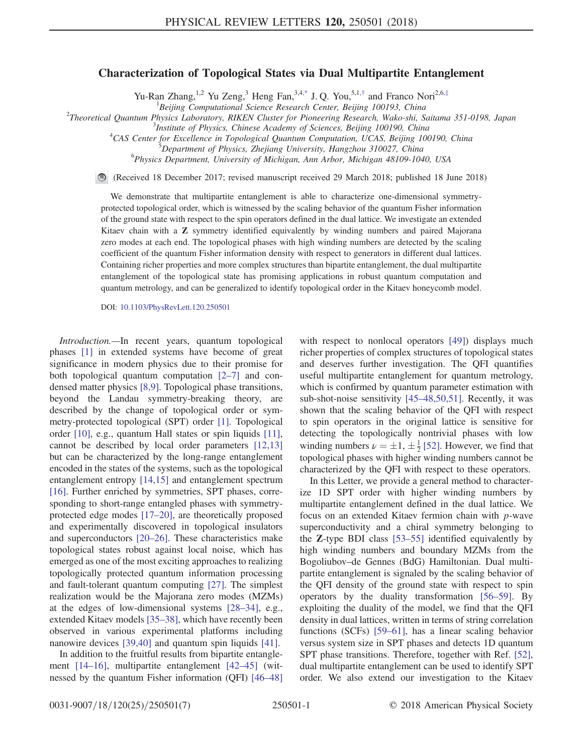## Characterization of Topological States via Dual Multipartite Entanglement

Yu-Ran Zhang,<sup>1,2</sup> Yu Zeng,<sup>3</sup> Heng Fan,<sup>3,4[,\\*](#page-4-0)</sup> J. Q. You,<sup>5,1,[†](#page-4-1)</sup> and Franco Nori<sup>2,6,[‡](#page-4-2)</sup>

<span id="page-0-0"></span><sup>1</sup> Beijing Computational Science Research Center, Beijing 100193, China<br><sup>2</sup> Theoretical Quantum Bhysics Laboratom: BIKEN Cluster for Bioneering Besearch Wake shi, S

 $T$ Theoretical Quantum Physics Laboratory, RIKEN Cluster for Pioneering Research, Wako-shi, Saitama 351-0198, Japan

 $<sup>3</sup>$ Institute of Physics, Chinese Academy of Sciences, Beijing 100190, China</sup>

<sup>4</sup>CAS Center for Excellence in Topological Quantum Computation, UCAS, Beijing 100190, China

<sup>6</sup>Physics Department, University of Michigan, Ann Arbor, Michigan 48109-1040, USA

(Received 18 December 2017; revised manuscript received 29 March 2018; published 18 June 2018)

We demonstrate that multipartite entanglement is able to characterize one-dimensional symmetryprotected topological order, which is witnessed by the scaling behavior of the quantum Fisher information of the ground state with respect to the spin operators defined in the dual lattice. We investigate an extended Kitaev chain with a Z symmetry identified equivalently by winding numbers and paired Majorana zero modes at each end. The topological phases with high winding numbers are detected by the scaling coefficient of the quantum Fisher information density with respect to generators in different dual lattices. Containing richer properties and more complex structures than bipartite entanglement, the dual multipartite entanglement of the topological state has promising applications in robust quantum computation and quantum metrology, and can be generalized to identify topological order in the Kitaev honeycomb model.

DOI: [10.1103/PhysRevLett.120.250501](https://doi.org/10.1103/PhysRevLett.120.250501)

Introduction.—In recent years, quantum topological phases [\[1\]](#page-4-3) in extended systems have become of great significance in modern physics due to their promise for both topological quantum computation [\[2](#page-4-4)–7] and condensed matter physics [\[8,9\].](#page-4-5) Topological phase transitions, beyond the Landau symmetry-breaking theory, are described by the change of topological order or symmetry-protected topological (SPT) order [\[1\].](#page-4-3) Topological order [\[10\],](#page-5-0) e.g., quantum Hall states or spin liquids [\[11\]](#page-5-1), cannot be described by local order parameters [\[12,13\]](#page-5-2) but can be characterized by the long-range entanglement encoded in the states of the systems, such as the topological entanglement entropy [\[14,15\]](#page-5-3) and entanglement spectrum [\[16\]](#page-5-4). Further enriched by symmetries, SPT phases, corresponding to short-range entangled phases with symmetryprotected edge modes [\[17](#page-5-5)–20], are theoretically proposed and experimentally discovered in topological insulators and superconductors [\[20](#page-5-6)–26]. These characteristics make topological states robust against local noise, which has emerged as one of the most exciting approaches to realizing topologically protected quantum information processing and fault-tolerant quantum computing [\[27\].](#page-5-7) The simplest realization would be the Majorana zero modes (MZMs) at the edges of low-dimensional systems [28–[34\]](#page-5-8), e.g., extended Kitaev models [\[35](#page-5-9)–38], which have recently been observed in various experimental platforms including nanowire devices [\[39,40\]](#page-5-10) and quantum spin liquids [\[41\].](#page-5-11)

In addition to the fruitful results from bipartite entanglement [\[14](#page-5-3)–16], multipartite entanglement [42–[45\]](#page-5-12) (witnessed by the quantum Fisher information (QFI) [\[46](#page-5-13)–48] with respect to nonlocal operators [\[49\]\)](#page-5-14) displays much richer properties of complex structures of topological states and deserves further investigation. The QFI quantifies useful multipartite entanglement for quantum metrology, which is confirmed by quantum parameter estimation with sub-shot-noise sensitivity [45–[48,50,51\].](#page-5-15) Recently, it was shown that the scaling behavior of the QFI with respect to spin operators in the original lattice is sensitive for detecting the topologically nontrivial phases with low winding numbers  $\nu = \pm 1, \pm \frac{1}{2}$  [\[52\].](#page-6-0) However, we find that topological phases with higher winding numbers cannot be characterized by the QFI with respect to these operators.

In this Letter, we provide a general method to characterize 1D SPT order with higher winding numbers by multipartite entanglement defined in the dual lattice. We focus on an extended Kitaev fermion chain with p-wave superconductivity and a chiral symmetry belonging to the Z-type BDI class [\[53](#page-6-1)–55] identified equivalently by high winding numbers and boundary MZMs from the Bogoliubov–de Gennes (BdG) Hamiltonian. Dual multipartite entanglement is signaled by the scaling behavior of the QFI density of the ground state with respect to spin operators by the duality transformation [56–[59\].](#page-6-2) By exploiting the duality of the model, we find that the QFI density in dual lattices, written in terms of string correlation functions (SCFs) [59–[61\],](#page-6-3) has a linear scaling behavior versus system size in SPT phases and detects 1D quantum SPT phase transitions. Therefore, together with Ref. [\[52\]](#page-6-0), dual multipartite entanglement can be used to identify SPT order. We also extend our investigation to the Kitaev

PDepartment of Physics, Zhejiang University, Hangzhou 310027, China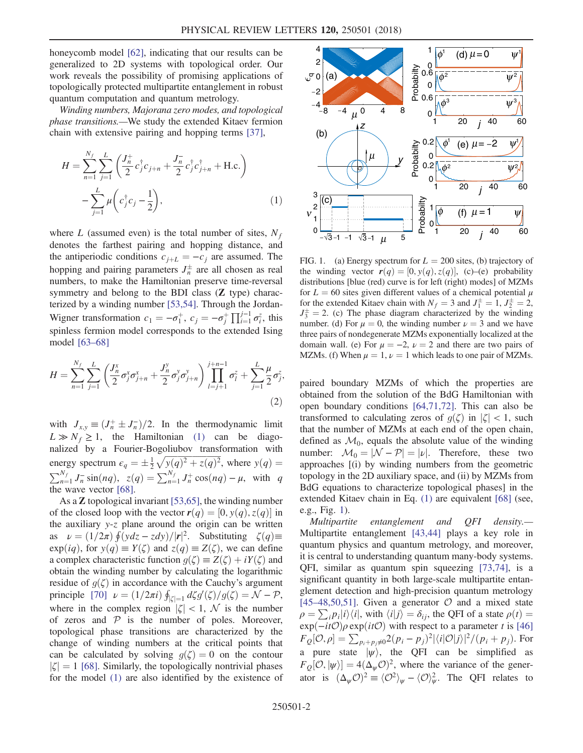honeycomb model [\[62\],](#page-6-4) indicating that our results can be generalized to 2D systems with topological order. Our work reveals the possibility of promising applications of topologically protected multipartite entanglement in robust quantum computation and quantum metrology.

<span id="page-1-0"></span>Winding numbers, Majorana zero modes, and topological phase transitions.—We study the extended Kitaev fermion chain with extensive pairing and hopping terms [\[37\]](#page-5-16),

$$
H = \sum_{n=1}^{N_f} \sum_{j=1}^{L} \left( \frac{J_n^+}{2} c_j^{\dagger} c_{j+n} + \frac{J_n^-}{2} c_j^{\dagger} c_{j+n}^{\dagger} + \text{H.c.} \right)
$$

$$
- \sum_{j=1}^{L} \mu \left( c_j^{\dagger} c_j - \frac{1}{2} \right), \tag{1}
$$

where L (assumed even) is the total number of sites,  $N_f$ denotes the farthest pairing and hopping distance, and the antiperiodic conditions  $c_{i+L} = -c_i$  are assumed. The hopping and pairing parameters  $J_n^{\pm}$  are all chosen as real numbers, to make the Hamiltonian preserve time-reversal symmetry and belong to the BDI class (Z type) characterized by a winding number [\[53,54\].](#page-6-1) Through the Jordan-Wigner transformation  $c_1 = -\sigma_1^+$ ,  $c_j = -\sigma_j^+ \prod_{i=1}^{j-1} \sigma_i^z$ , this spinless fermion model corresponds to the extended Ising model [63–[68\]](#page-6-5)

$$
H = \sum_{n=1}^{N_f} \sum_{j=1}^{L} \left( \frac{J_n^x}{2} \sigma_j^x \sigma_{j+n}^x + \frac{J_n^y}{2} \sigma_j^y \sigma_{j+n}^y \right) \prod_{l=j+1}^{j+n-1} \sigma_l^z + \sum_{j=1}^{L} \frac{\mu}{2} \sigma_j^z,
$$
\n(2)

with  $J_{x,y} \equiv (J_n^+ \pm J_n^-)/2$ . In the thermodynamic limit  $L \gg N_f \ge 1$ , the Hamiltonian [\(1\)](#page-1-0) can be diagonalized by a Fourier-Bogoliubov transformation with energy spectrum  $\epsilon_q = \pm \frac{1}{2} \sqrt{y(q)^2 + z(q)^2}$ , where  $y(q) =$  $\sum_{n=1}^{N_f} J_n^- \sin(nq)$ ,  $z(q) = \sum_{n=1}^{N_f} J_n^+ \cos(nq) - \mu$ , with q the wave vector [\[68\].](#page-6-6)

As a Z topological invariant [\[53,65\],](#page-6-1) the winding number of the closed loop with the vector  $r(q) = [0, y(q), z(q)]$  in the auxiliary y-z plane around the origin can be written as  $\nu = (1/2\pi) \oint (ydz - zdy)/|\mathbf{r}|^2$ . Substituting  $\zeta(q) \equiv$  $exp(iq)$ , for  $y(q) \equiv Y(\zeta)$  and  $z(q) \equiv Z(\zeta)$ , we can define a complex characteristic function  $g(\zeta) \equiv Z(\zeta) + iY(\zeta)$  and obtain the winding number by calculating the logarithmic residue of  $g(\zeta)$  in accordance with the Cauchy's argument principle [\[70\]](#page-6-7)  $\nu = (1/2\pi i) \oint_{|\zeta|=1} d\zeta g'(\zeta)/g(\zeta) = \mathcal{N} - \mathcal{P},$ where in the complex region  $|\zeta| < 1$ , N is the number of zeros and  $P$  is the number of poles. Moreover, topological phase transitions are characterized by the change of winding numbers at the critical points that can be calculated by solving  $g(\zeta) = 0$  on the contour  $|\zeta| = 1$  [\[68\]](#page-6-6). Similarly, the topologically nontrivial phases for the model [\(1\)](#page-1-0) are also identified by the existence of

<span id="page-1-1"></span>

FIG. 1. (a) Energy spectrum for  $L = 200$  sites, (b) trajectory of the winding vector  $r(q) = [0, y(q), z(q)]$ , (c)–(e) probability distributions [blue (red) curve is for left (right) modes] of MZMs for  $L = 60$  sites given different values of a chemical potential  $\mu$ for the extended Kitaev chain with  $N_f = 3$  and  $J_1^{\pm} = 1$ ,  $J_2^{\pm} = 2$ ,  $J_3^{\pm} = 2$ . (c) The phase diagram characterized by the winding number. (d) For  $\mu = 0$ , the winding number  $\nu = 3$  and we have three pairs of nondegenerate MZMs exponentially localized at the domain wall. (e) For  $\mu = -2$ ,  $\nu = 2$  and there are two pairs of MZMs. (f) When  $\mu = 1$ ,  $\nu = 1$  which leads to one pair of MZMs.

paired boundary MZMs of which the properties are obtained from the solution of the BdG Hamiltonian with open boundary conditions [\[64,71,72\]](#page-6-8). This can also be transformed to calculating zeros of  $g(\zeta)$  in  $|\zeta| < 1$ , such that the number of MZMs at each end of the open chain, defined as  $\mathcal{M}_0$ , equals the absolute value of the winding number:  $\mathcal{M}_0 = |\mathcal{N} - \mathcal{P}| = |\mathcal{V}|$ . Therefore, these two approaches [(i) by winding numbers from the geometric topology in the 2D auxiliary space, and (ii) by MZMs from BdG equations to characterize topological phases] in the extended Kitaev chain in Eq. [\(1\)](#page-1-0) are equivalent [\[68\]](#page-6-6) (see, e.g., Fig. [1\)](#page-1-1).

Multipartite entanglement and QFI density.— Multipartite entanglement [\[43,44\]](#page-5-17) plays a key role in quantum physics and quantum metrology, and moreover, it is central to understanding quantum many-body systems. QFI, similar as quantum spin squeezing [\[73,74\],](#page-6-9) is a significant quantity in both large-scale multipartite entanglement detection and high-precision quantum metrology [45–[48,50,51\]](#page-5-15). Given a generator  $\mathcal O$  and a mixed state  $\rho = \sum_i p_i |i\rangle\langle i|$ , with  $\langle i|j\rangle = \delta_{ij}$ , the QFI of a state  $\rho(t) =$  $\exp(-it\mathcal{O})\rho \exp(it\mathcal{O})$  with respect to a parameter t is [\[46\]](#page-5-13)  $F_Q[\mathcal{O}, \rho] = \sum_{p_i+p_j\neq 0} 2(p_i-p_j)^2 |\langle i|\mathcal{O}|j\rangle|^2/(p_i+p_j)$ . For a pure state  $|\psi\rangle$ , the QFI can be simplified as  $F_Q[O, |\psi\rangle] = 4(\Delta_{\psi}O)^2$ , where the variance of the generator is  $(\Delta_{\psi} \mathcal{O})^2 \equiv \langle \mathcal{O}^2 \rangle_{\psi} - \langle \mathcal{O} \rangle_{\psi}^2$ . The QFI relates to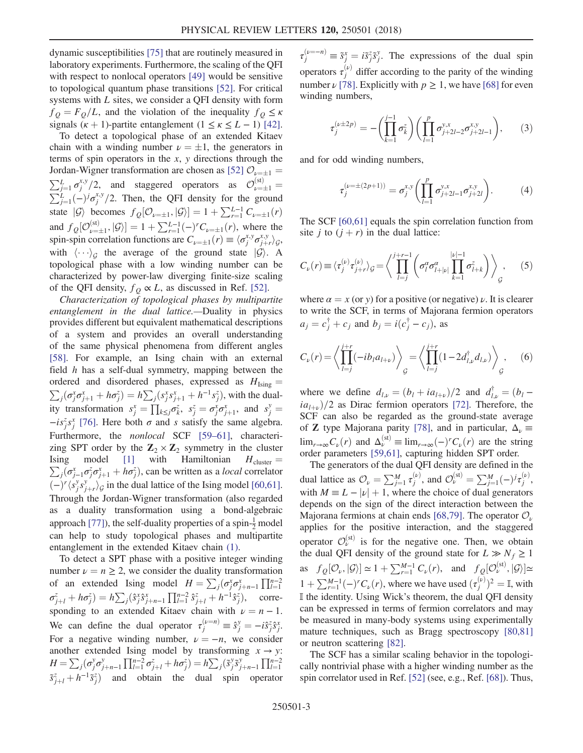dynamic susceptibilities [\[75\]](#page-6-10) that are routinely measured in laboratory experiments. Furthermore, the scaling of the QFI with respect to nonlocal operators [\[49\]](#page-5-14) would be sensitive to topological quantum phase transitions [\[52\].](#page-6-0) For critical systems with L sites, we consider a QFI density with form  $f_{Q} = F_{Q}/L$ , and the violation of the inequality  $f_{Q} \leq \kappa$ signals  $(\kappa + 1)$ -partite entanglement  $(1 \le \kappa \le L - 1)$  [\[42\]](#page-5-12).

To detect a topological phase of an extended Kitaev chain with a winding number  $\nu = \pm 1$ , the generators in terms of spin operators in the  $x$ ,  $y$  directions through the Jordan-Wigner transformation are chosen as [\[52\]](#page-6-0)  $\mathcal{O}_{\nu=\pm 1}$  =  $\sum_{j=1}^{L} \sigma_j^{x,y}/2$ , and staggered operators as  $\mathcal{O}_{\nu=\pm 1}^{(\rm st)}$  $\sum_{j=1}^{L}(-)^{j}\sigma_{j}^{x,y}/2$ . Then, the QFI density for the ground state  $|\mathcal{G}\rangle$  becomes  $f_Q[\mathcal{O}_{\nu=\pm 1}, |\mathcal{G}\rangle] = 1 + \sum_{r=1}^{L-1} C_{\nu=\pm 1}(r)$ and  $f_Q[\mathcal{O}_{\nu=\pm 1}^{(\text{st})}, |\mathcal{G}\rangle] = 1 + \sum_{r=1}^{L-1} (-)^r C_{\nu=\pm 1}(r)$ , where the spin-spin correlation functions are  $C_{\nu=\pm 1}(r) \equiv \langle \sigma_j^{x,y} \sigma_{j+r}^{x,y} \rangle_{\mathcal{G}},$ with  $\langle \cdots \rangle_G$  the average of the ground state  $|\mathcal{G}\rangle$ . A topological phase with a low winding number can be characterized by power-law diverging finite-size scaling of the QFI density,  $f_{\theta} \propto L$ , as discussed in Ref. [\[52\].](#page-6-0)

Characterization of topological phases by multipartite entanglement in the dual lattice.—Duality in physics provides different but equivalent mathematical descriptions of a system and provides an overall understanding of the same physical phenomena from different angles [\[58\]](#page-6-11). For example, an Ising chain with an external field h has a self-dual symmetry, mapping between the ordered and disordered phases, expressed as  $H_{Ising}$  =  $\sum_j(\sigma_j^x \sigma_{j+1}^x + h \sigma_j^z) = h \sum_j(s_j^x s_{j+1}^x + h^{-1} s_j^z)$ , with the duality transformation  $s_j^x = \prod_{k \leq j} \sigma_k^z$ ,  $s_j^z = \sigma_j^x \sigma_{j+1}^x$ , and  $s_j^y =$  $-i s_j^z s_j^x$  [\[76\].](#page-6-12) Here both  $\sigma$  and s satisfy the same algebra. Furthermore, the nonlocal SCF [59–[61\],](#page-6-3) characterizing SPT order by the  $\mathbb{Z}_2 \times \mathbb{Z}_2$  symmetry in the cluster  $\sum_j(\sigma_{j-1}^x \sigma_j^z \sigma_{j+1}^x + h \sigma_j^z)$ , can be written as a *local* correlator Ising model [\[1\]](#page-4-3) with Hamiltonian  $H_{\text{cluster}} =$  $(-)^{r} \langle s_j^y s_{j+r}^y \rangle_{\mathcal{G}}$  in the dual lattice of the Ising model [\[60,61\]](#page-6-13). Through the Jordan-Wigner transformation (also regarded as a duality transformation using a bond-algebraic approach [\[77\]\)](#page-6-14), the self-duality properties of a spin- $\frac{1}{2}$  model can help to study topological phases and multipartite entanglement in the extended Kitaev chain [\(1\)](#page-1-0).

To detect a SPT phase with a positive integer winding number  $\nu = n \geq 2$ , we consider the duality transformation of an extended Ising model  $H = \sum_j (\sigma_j^x \sigma_{j+n-1}^x) \prod_{l=1}^{n-2}$  $\sigma_{j+l}^z + h\sigma_j^z = h \sum_j (\hat{s}_j^x \hat{s}_{j+n-1}^x \prod_{l=1}^{n-2} \hat{s}_{j+l}^z + h^{-1} \hat{s}_j^z), \quad \text{corre-}$ sponding to an extended Kitaev chain with  $\nu = n - 1$ . We can define the dual operator  $\tau_j^{(\nu=n)} \equiv \hat{s}_j^{\nu} = -i \hat{s}_j^{\nu} \hat{s}_j^{\nu}$ . For a negative winding number,  $\nu = -n$ , we consider another extended Ising model by transforming  $x \rightarrow y$ :  $H = \sum_j (\sigma_j^y \sigma_{j+n-1}^y \prod_{l=1}^{n-2} \sigma_{j+l}^z + h \sigma_j^z) = h \sum_j (\tilde{s}_j^y \tilde{s}_{j+n-1}^y \prod_{l=1}^{n-2}$  $\tilde{s}_{j+l}^z + h^{-1} \tilde{s}_j^z$  and obtain the dual spin operator

 $\tau_j^{(\nu=-n)} \equiv \tilde{s}_j^x = i \tilde{s}_j^z \tilde{s}_j^y$ . The expressions of the dual spin operators  $\tau_j^{(\nu)}$  differ according to the parity of the winding number  $\nu$  [\[78\]](#page-6-15). Explicitly with  $p \ge 1$ , we have [\[68\]](#page-6-6) for even winding numbers,

$$
\tau_j^{(\nu \pm 2p)} = -\left(\prod_{k=1}^{j-1} \sigma_k^z\right) \left(\prod_{l=1}^p \sigma_{j+2l-2}^{y,x} \sigma_{j+2l-1}^{x,y}\right),\qquad(3)
$$

and for odd winding numbers,

$$
\tau_j^{(\nu=\pm(2p+1))} = \sigma_j^{x,y} \left( \prod_{l=1}^p \sigma_{j+2l-1}^{y,x} \sigma_{j+2l}^{x,y} \right). \tag{4}
$$

The SCF [\[60,61\]](#page-6-13) equals the spin correlation function from site j to  $(j + r)$  in the dual lattice:

$$
C_{\nu}(r) \equiv \langle \tau_j^{(\nu)} \tau_{j+r}^{(\nu)} \rangle_{\mathcal{G}} = \left\langle \prod_{l=j}^{j+r-1} \left( \sigma_l^{\alpha} \sigma_{l+|\nu|}^{\alpha} \prod_{k=1}^{|\nu|-1} \sigma_{l+k}^{z} \right) \right\rangle_{\mathcal{G}}, \qquad (5)
$$

where  $\alpha = x$  (or y) for a positive (or negative)  $\nu$ . It is clearer to write the SCF, in terms of Majorana fermion operators  $a_j = c_j^{\dagger} + c_j$  and  $b_j = i(c_j^{\dagger} - c_j)$ , as

$$
C_{\nu}(r) = \left\langle \prod_{l=j}^{j+r} (-ib_{l}a_{l+\nu}) \right\rangle_{\mathcal{G}} = \left\langle \prod_{l=j}^{j+r} (1 - 2d_{l,\nu}^{\dagger}d_{l,\nu}) \right\rangle_{\mathcal{G}}, \quad (6)
$$

where we define  $d_{l,\nu} = (b_l + ia_{l+\nu})/2$  and  $d_{l,\nu}^{\dagger} = (b_l$  $i a_{l+\nu}$ )/2 as Dirac fermion operators [\[72\].](#page-6-16) Therefore, the SCF can also be regarded as the ground-state average of **Z** type Majorana parity [\[78\]](#page-6-15), and in particular,  $\Delta_{\nu}$  =  $\lim_{r\to\infty}C_{\nu}(r)$  and  $\Delta_{\nu}^{(\text{st})} \equiv \lim_{r\to\infty} (-)^{r}C_{\nu}(r)$  are the string order parameters [\[59,61\],](#page-6-3) capturing hidden SPT order.

The generators of the dual QFI density are defined in the dual lattice as  $\mathcal{O}_{\nu} = \sum_{j=1}^{M} \tau_j^{(\nu)}$ , and  $\mathcal{O}_{\nu}^{(\text{st})} = \sum_{j=1}^{M} (-1)^j \tau_j^{(\nu)}$ , with  $M = L - |\nu| + 1$ , where the choice of dual generators depends on the sign of the direct interaction between the Majorana fermions at chain ends [\[68,79\].](#page-6-6) The operator  $\mathcal{O}_{\nu}$ applies for the positive interaction, and the staggered operator  $\mathcal{O}_{\nu}^{(st)}$  is for the negative one. Then, we obtain the dual QFI density of the ground state for  $L \gg N_f \ge 1$ as  $f_Q[\mathcal{O}_{\nu}, \mathcal{G}] \simeq 1 + \sum_{r=1}^{M-1} C_{\nu}(r)$ , and  $f_Q[\mathcal{O}_{\nu}^{(\mathrm{st})}, \mathcal{G}] \simeq$  $1 + \sum_{r=1}^{M-1} (-)^r C_{\nu}(r)$ , where we have used  $(\tau_j^{(\nu)})^2 = \mathbb{I}$ , with I the identity. Using Wick's theorem, the dual QFI density can be expressed in terms of fermion correlators and may be measured in many-body systems using experimentally mature techniques, such as Bragg spectroscopy [\[80,81\]](#page-6-17) or neutron scattering [\[82\].](#page-6-18)

The SCF has a similar scaling behavior in the topologically nontrivial phase with a higher winding number as the spin correlator used in Ref. [\[52\]](#page-6-0) (see, e.g., Ref. [\[68\]](#page-6-6)). Thus,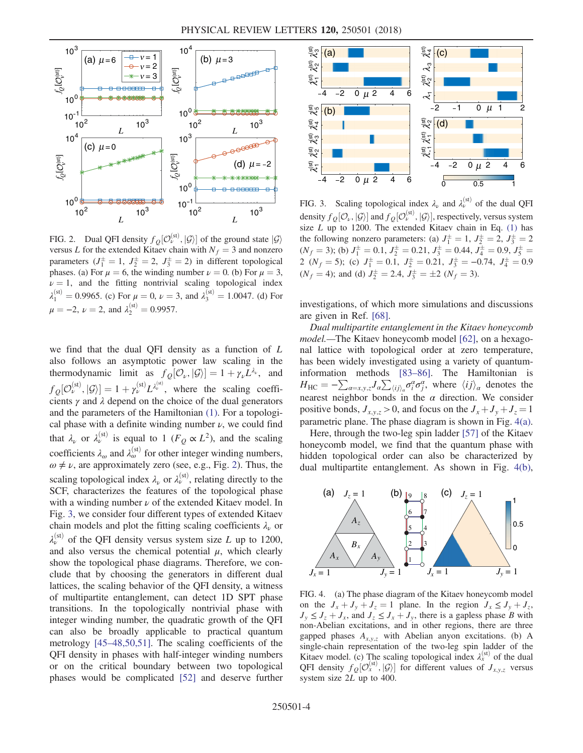<span id="page-3-0"></span>

FIG. 2. Dual QFI density  $f_Q[\mathcal{O}_\nu^{(\text{st})}, \mathcal{G}]$  of the ground state  $|\mathcal{G}\rangle$ versus L for the extended Kitaev chain with  $N_f = 3$  and nonzero parameters  $(J_1^{\pm} = 1, J_2^{\pm} = 2, J_3^{\pm} = 2)$  in different topological phases. (a) For  $\mu = 6$ , the winding number  $\nu = 0$ . (b) For  $\mu = 3$ ,  $\nu = 1$ , and the fitting nontrivial scaling topological index  $\lambda_1^{(st)} = 0.9965$ . (c) For  $\mu = 0$ ,  $\nu = 3$ , and  $\lambda_3^{(st)} = 1.0047$ . (d) For  $\mu = -2, \nu = 2, \text{ and } \lambda_2^{(\text{st})} = 0.9957.$ 

we find that the dual QFI density as a function of L also follows an asymptotic power law scaling in the thermodynamic limit as  $f_{Q}[\mathcal{O}_{\nu}, |\mathcal{G}\rangle] = 1 + \gamma_{\nu}L^{\lambda_{\nu}}$ , and  $f_Q[\mathcal{O}_{\nu}^{(\text{st})}, |\mathcal{G}\rangle] = 1 + \gamma_{\nu}^{(\text{st})} L^{\lambda_{\nu}^{(\text{st})}}$ , where the scaling coefficients  $\gamma$  and  $\lambda$  depend on the choice of the dual generators and the parameters of the Hamiltonian [\(1\)](#page-1-0). For a topological phase with a definite winding number  $\nu$ , we could find that  $\lambda_{\nu}$  or  $\lambda_{\nu}^{(\text{st})}$  is equal to 1 ( $F_Q \propto L^2$ ), and the scaling coefficients  $\lambda_{\omega}$  and  $\lambda_{\omega}^{(st)}$  for other integer winding numbers,  $\omega \neq \nu$ , are approximately zero (see, e.g., Fig. [2](#page-3-0)). Thus, the scaling topological index  $\lambda_{\nu}$  or  $\lambda_{\nu}^{(st)}$ , relating directly to the SCF, characterizes the features of the topological phase with a winding number  $\nu$  of the extended Kitaev model. In Fig. [3,](#page-3-1) we consider four different types of extended Kitaev chain models and plot the fitting scaling coefficients  $\lambda_{\nu}$  or  $\lambda_{\nu}^{(st)}$  of the QFI density versus system size L up to 1200, and also versus the chemical potential  $\mu$ , which clearly show the topological phase diagrams. Therefore, we conclude that by choosing the generators in different dual lattices, the scaling behavior of the QFI density, a witness of multipartite entanglement, can detect 1D SPT phase transitions. In the topologically nontrivial phase with integer winding number, the quadratic growth of the QFI can also be broadly applicable to practical quantum metrology [45–[48,50,51\]](#page-5-15). The scaling coefficients of the QFI density in phases with half-integer winding numbers or on the critical boundary between two topological phases would be complicated [\[52\]](#page-6-0) and deserve further

<span id="page-3-1"></span>

FIG. 3. Scaling topological index  $\lambda_{\nu}$  and  $\lambda_{\nu}^{(st)}$  of the dual QFI density  $f_O[\mathcal{O}_\nu, |\mathcal{G}\rangle]$  and  $f_O[\mathcal{O}_\nu^{\text{(st)}}, |\mathcal{G}\rangle]$ , respectively, versus system size  $L$  up to 1200. The extended Kitaev chain in Eq.  $(1)$  has the following nonzero parameters: (a)  $J_1^{\pm} = 1$ ,  $J_2^{\pm} = 2$ ,  $J_3^{\pm} = 2$  $(N_f = 3)$ ; (b)  $J_1^{\pm} = 0.1$ ,  $J_2^{\pm} = 0.21$ ,  $J_3^{\pm} = 0.44$ ,  $J_4^{\pm} = 0.9$ ,  $J_5^{\pm} =$ 2 ( $N_f = 5$ ); (c)  $J_1^{\pm} = 0.1$ ,  $J_2^{\pm} = 0.21$ ,  $J_3^{\pm} = -0.74$ ,  $J_4^{\pm} = 0.9$  $(N_f = 4)$ ; and (d)  $J_2^{\pm} = 2.4$ ,  $J_3^{\pm} = \pm 2$  ( $N_f = 3$ ).

investigations, of which more simulations and discussions are given in Ref. [\[68\].](#page-6-6)

Dual multipartite entanglement in the Kitaev honeycomb model.—The Kitaev honeycomb model [\[62\],](#page-6-4) on a hexagonal lattice with topological order at zero temperature, has been widely investigated using a variety of quantuminformation methods [\[83](#page-6-19)–86]. The Hamiltonian is  $H_{HC} = -\sum_{\alpha=x,y,z} J_{\alpha} \sum_{\langle ij \rangle_{\alpha}} \sigma_i^{\alpha} \sigma_j^{\alpha}$ , where  $\langle ij \rangle_{\alpha}$  denotes the nearest neighbor bonds in the  $\alpha$  direction. We consider positive bonds,  $J_{x,y,z} > 0$ , and focus on the  $J_x + J_y + J_z = 1$ parametric plane. The phase diagram is shown in Fig. [4\(a\)](#page-3-2).

Here, through the two-leg spin ladder [\[57\]](#page-6-20) of the Kitaev honeycomb model, we find that the quantum phase with hidden topological order can also be characterized by dual multipartite entanglement. As shown in Fig. [4\(b\)](#page-3-2),

<span id="page-3-2"></span>

FIG. 4. (a) The phase diagram of the Kitaev honeycomb model on the  $J_x + J_y + J_z = 1$  plane. In the region  $J_x \le J_y + J_z$ ,  $J_y \leq J_z + J_x$ , and  $J_z \leq J_x + J_y$ , there is a gapless phase B with non-Abelian excitations, and in other regions, there are three gapped phases  $A_{x,y,z}$  with Abelian anyon excitations. (b) A single-chain representation of the two-leg spin ladder of the Kitaev model. (c) The scaling topological index  $\lambda_x^{(st)}$  of the dual QFI density  $f_{Q}[\mathcal{O}_{x}^{(st)}, \mathcal{G}]$  for different values of  $J_{x,y,z}$  versus system size 2L up to 400.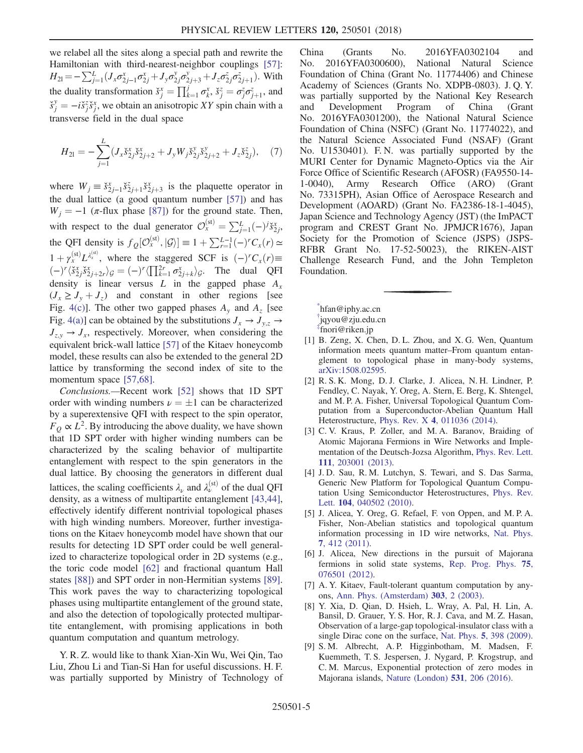we relabel all the sites along a special path and rewrite the Hamiltonian with third-nearest-neighbor couplings [\[57\]](#page-6-20):  $H_{21} = -\sum_{j=1}^{L} (J_x \sigma_{2j-1}^x \sigma_{2j}^x + J_y \sigma_{2j}^y \sigma_{2j+3}^y + J_z \sigma_{2j}^z \sigma_{2j+1}^z).$  With the duality transformation  $\check{s}_j^x = \prod_{k=1}^j \sigma_k^x$ ,  $\check{s}_j^z = \sigma_j^z \sigma_{j+1}^z$ , and  $\check{s}^y_j = -i \check{s}^z_j \check{s}^x_j$ , we obtain an anisotropic XY spin chain with a transverse field in the dual space

$$
H_{21} = -\sum_{j=1}^{L} (J_x \check{s}_{2j}^x \check{s}_{2j+2}^x + J_y W_j \check{s}_{2j}^y \check{s}_{2j+2}^y + J_z \check{s}_{2j}^z), \quad (7)
$$

where  $W_j \equiv \check{s}_{2j-1}^x \check{s}_{2j+1}^x \check{s}_{2j+3}^x$  is the plaquette operator in the dual lattice (a good quantum number [\[57\]](#page-6-20)) and has  $W_i = -1$  ( $\pi$ -flux phase [\[87\]\)](#page-6-21) for the ground state. Then, with respect to the dual generator  $\mathcal{O}_x^{(\text{st})} = \sum_{j=1}^L (-)^j \check{s}_{2j}^x$ , the QFI density is  $f_Q[\mathcal{O}_x^{(st)}, |\mathcal{G}\rangle] \equiv 1 + \sum_{r=1}^{L-1} (-)^r C_x(r) \simeq$  $1 + \gamma_x^{\text{(st)}} L_x^{\text{(st)}},$  where the staggered SCF is  $(-)^r C_x(r) \equiv$  $(-)^{r} \langle \tilde{s}_{2j}^{x} \tilde{s}_{2j+2r}^{x} \rangle_{\mathcal{G}} = (-)^{r} \langle \prod_{k=1}^{2r} \sigma_{2j+k}^{x} \rangle_{\mathcal{G}}$ . The dual QFI density is linear versus  $L$  in the gapped phase  $A_x$  $(J_x \geq J_y + J_z)$  and constant in other regions [see Fig. [4\(c\)](#page-3-2)]. The other two gapped phases  $A<sub>v</sub>$  and  $A<sub>z</sub>$  [see Fig. [4\(a\)\]](#page-3-2) can be obtained by the substitutions  $J_x \rightarrow J_{y,z} \rightarrow$  $J_{z,y} \rightarrow J_x$ , respectively. Moreover, when considering the equivalent brick-wall lattice [\[57\]](#page-6-20) of the Kitaev honeycomb model, these results can also be extended to the general 2D lattice by transforming the second index of site to the momentum space [\[57,68\]](#page-6-20).

Conclusions.—Recent work [\[52\]](#page-6-0) shows that 1D SPT order with winding numbers  $\nu = \pm 1$  can be characterized by a superextensive QFI with respect to the spin operator,  $F<sub>O</sub> \propto L<sup>2</sup>$ . By introducing the above duality, we have shown that 1D SPT order with higher winding numbers can be characterized by the scaling behavior of multipartite entanglement with respect to the spin generators in the dual lattice. By choosing the generators in different dual lattices, the scaling coefficients  $\lambda_{\nu}$  and  $\lambda_{\nu}^{(st)}$  of the dual QFI density, as a witness of multipartite entanglement [\[43,44\]](#page-5-17), effectively identify different nontrivial topological phases with high winding numbers. Moreover, further investigations on the Kitaev honeycomb model have shown that our results for detecting 1D SPT order could be well generalized to characterize topological order in 2D systems (e.g., the toric code model [\[62\]](#page-6-4) and fractional quantum Hall states [\[88\]](#page-6-22)) and SPT order in non-Hermitian systems [\[89\]](#page-6-23). This work paves the way to characterizing topological phases using multipartite entanglement of the ground state, and also the detection of topologically protected multipartite entanglement, with promising applications in both quantum computation and quantum metrology.

Y. R. Z. would like to thank Xian-Xin Wu, Wei Qin, Tao Liu, Zhou Li and Tian-Si Han for useful discussions. H. F. was partially supported by Ministry of Technology of China (Grants No. 2016YFA0302104 and No. 2016YFA0300600), National Natural Science Foundation of China (Grant No. 11774406) and Chinese Academy of Sciences (Grants No. XDPB-0803). J. Q. Y. was partially supported by the National Key Research and Development Program of China (Grant No. 2016YFA0301200), the National Natural Science Foundation of China (NSFC) (Grant No. 11774022), and the Natural Science Associated Fund (NSAF) (Grant No. U1530401). F. N. was partially supported by the MURI Center for Dynamic Magneto-Optics via the Air Force Office of Scientific Research (AFOSR) (FA9550-14- 1-0040), Army Research Office (ARO) (Grant No. 73315PH), Asian Office of Aerospace Research and Development (AOARD) (Grant No. FA2386-18-1-4045), Japan Science and Technology Agency (JST) (the ImPACT program and CREST Grant No. JPMJCR1676), Japan Society for the Promotion of Science (JSPS) (JSPS-RFBR Grant No. 17-52-50023), the RIKEN-AIST Challenge Research Fund, and the John Templeton Foundation.

<span id="page-4-2"></span><span id="page-4-1"></span><span id="page-4-0"></span>[\\*](#page-0-0) hfan@iphy.ac.cn [†](#page-0-0) jqyou@zju.edu.cn [‡](#page-0-0) fnori@riken.jp

- <span id="page-4-3"></span>[1] B. Zeng, X. Chen, D. L. Zhou, and X. G. Wen, Quantum information meets quantum matter–From quantum entanglement to topological phase in many-body systems, [arXiv:1508.02595.](http://arXiv.org/abs/1508.02595)
- <span id="page-4-4"></span>[2] R. S. K. Mong, D. J. Clarke, J. Alicea, N. H. Lindner, P. Fendley, C. Nayak, Y. Oreg, A. Stern, E. Berg, K. Shtengel, and M. P. A. Fisher, Universal Topological Quantum Computation from a Superconductor-Abelian Quantum Hall Heterostructure, Phys. Rev. X 4[, 011036 \(2014\).](https://doi.org/10.1103/PhysRevX.4.011036)
- [3] C. V. Kraus, P. Zoller, and M. A. Baranov, Braiding of Atomic Majorana Fermions in Wire Networks and Implementation of the Deutsch-Jozsa Algorithm, [Phys. Rev. Lett.](https://doi.org/10.1103/PhysRevLett.111.203001)
- 111[, 203001 \(2013\).](https://doi.org/10.1103/PhysRevLett.111.203001) [4] J. D. Sau, R. M. Lutchyn, S. Tewari, and S. Das Sarma, Generic New Platform for Topological Quantum Computation Using Semiconductor Heterostructures, [Phys. Rev.](https://doi.org/10.1103/PhysRevLett.104.040502) Lett. 104[, 040502 \(2010\)](https://doi.org/10.1103/PhysRevLett.104.040502).
- [5] J. Alicea, Y. Oreg, G. Refael, F. von Oppen, and M. P. A. Fisher, Non-Abelian statistics and topological quantum information processing in 1D wire networks, [Nat. Phys.](https://doi.org/10.1038/nphys1915) 7[, 412 \(2011\).](https://doi.org/10.1038/nphys1915)
- [6] J. Alicea, New directions in the pursuit of Majorana fermions in solid state systems, [Rep. Prog. Phys.](https://doi.org/10.1088/0034-4885/75/7/076501) 75, [076501 \(2012\).](https://doi.org/10.1088/0034-4885/75/7/076501)
- [7] A. Y. Kitaev, Fault-tolerant quantum computation by anyons, [Ann. Phys. \(Amsterdam\)](https://doi.org/10.1016/S0003-4916(02)00018-0) 303, 2 (2003).
- <span id="page-4-5"></span>[8] Y. Xia, D. Qian, D. Hsieh, L. Wray, A. Pal, H. Lin, A. Bansil, D. Grauer, Y. S. Hor, R. J. Cava, and M. Z. Hasan, Observation of a large-gap topological-insulator class with a single Dirac cone on the surface, Nat. Phys. 5[, 398 \(2009\).](https://doi.org/10.1038/nphys1274)
- [9] S. M. Albrecht, A. P. Higginbotham, M. Madsen, F. Kuemmeth, T. S. Jespersen, J. Nygard, P. Krogstrup, and C. M. Marcus, Exponential protection of zero modes in Majorana islands, [Nature \(London\)](https://doi.org/10.1038/nature17162) 531, 206 (2016).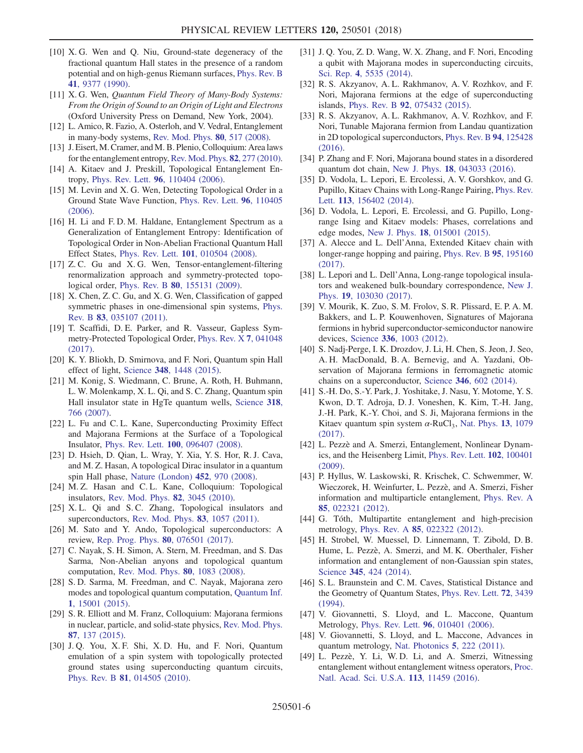- <span id="page-5-0"></span>[10] X. G. Wen and Q. Niu, Ground-state degeneracy of the fractional quantum Hall states in the presence of a random potential and on high-genus Riemann surfaces, [Phys. Rev. B](https://doi.org/10.1103/PhysRevB.41.9377) 41[, 9377 \(1990\)](https://doi.org/10.1103/PhysRevB.41.9377).
- <span id="page-5-1"></span>[11] X.G. Wen, Quantum Field Theory of Many-Body Systems: From the Origin of Sound to an Origin of Light and Electrons (Oxford University Press on Demand, New York, 2004).
- <span id="page-5-2"></span>[12] L. Amico, R. Fazio, A. Osterloh, and V. Vedral, Entanglement in many-body systems, [Rev. Mod. Phys.](https://doi.org/10.1103/RevModPhys.80.517) 80, 517 (2008).
- [13] J. Eisert, M. Cramer, and M. B. Plenio, Colloquium: Area laws for the entanglement entropy, [Rev. Mod. Phys.](https://doi.org/10.1103/RevModPhys.82.277) **82**, 277 (2010).
- <span id="page-5-3"></span>[14] A. Kitaev and J. Preskill, Topological Entanglement Entropy, Phys. Rev. Lett. 96[, 110404 \(2006\)](https://doi.org/10.1103/PhysRevLett.96.110404).
- [15] M. Levin and X. G. Wen, Detecting Topological Order in a Ground State Wave Function, [Phys. Rev. Lett.](https://doi.org/10.1103/PhysRevLett.96.110405) 96, 110405 [\(2006\).](https://doi.org/10.1103/PhysRevLett.96.110405)
- <span id="page-5-4"></span>[16] H. Li and F. D. M. Haldane, Entanglement Spectrum as a Generalization of Entanglement Entropy: Identification of Topological Order in Non-Abelian Fractional Quantum Hall Effect States, Phys. Rev. Lett. 101[, 010504 \(2008\).](https://doi.org/10.1103/PhysRevLett.101.010504)
- <span id="page-5-5"></span>[17] Z.C. Gu and X.G. Wen, Tensor-entanglement-filtering renormalization approach and symmetry-protected topological order, Phys. Rev. B 80[, 155131 \(2009\)](https://doi.org/10.1103/PhysRevB.80.155131).
- [18] X. Chen, Z. C. Gu, and X. G. Wen, Classification of gapped symmetric phases in one-dimensional spin systems, [Phys.](https://doi.org/10.1103/PhysRevB.83.035107) Rev. B 83[, 035107 \(2011\).](https://doi.org/10.1103/PhysRevB.83.035107)
- [19] T. Scaffidi, D. E. Parker, and R. Vasseur, Gapless Symmetry-Protected Topological Order, [Phys. Rev. X](https://doi.org/10.1103/PhysRevX.7.041048) 7, 041048 [\(2017\).](https://doi.org/10.1103/PhysRevX.7.041048)
- <span id="page-5-6"></span>[20] K. Y. Bliokh, D. Smirnova, and F. Nori, Quantum spin Hall effect of light, Science 348[, 1448 \(2015\)](https://doi.org/10.1126/science.aaa9519).
- [21] M. Konig, S. Wiedmann, C. Brune, A. Roth, H. Buhmann, L. W. Molenkamp, X. L. Qi, and S. C. Zhang, Quantum spin Hall insulator state in HgTe quantum wells, [Science](https://doi.org/10.1126/science.1148047) 318, [766 \(2007\)](https://doi.org/10.1126/science.1148047).
- [22] L. Fu and C. L. Kane, Superconducting Proximity Effect and Majorana Fermions at the Surface of a Topological Insulator, Phys. Rev. Lett. 100[, 096407 \(2008\).](https://doi.org/10.1103/PhysRevLett.100.096407)
- [23] D. Hsieh, D. Qian, L. Wray, Y. Xia, Y. S. Hor, R. J. Cava, and M. Z. Hasan, A topological Dirac insulator in a quantum spin Hall phase, [Nature \(London\)](https://doi.org/10.1038/nature06843) 452, 970 (2008).
- [24] M. Z. Hasan and C. L. Kane, Colloquium: Topological insulators, [Rev. Mod. Phys.](https://doi.org/10.1103/RevModPhys.82.3045) 82, 3045 (2010).
- [25] X.L. Qi and S.C. Zhang, Topological insulators and superconductors, [Rev. Mod. Phys.](https://doi.org/10.1103/RevModPhys.83.1057) **83**, 1057 (2011).
- <span id="page-5-7"></span>[26] M. Sato and Y. Ando, Topological superconductors: A review, [Rep. Prog. Phys.](https://doi.org/10.1088/1361-6633/aa6ac7) 80, 076501 (2017).
- [27] C. Nayak, S. H. Simon, A. Stern, M. Freedman, and S. Das Sarma, Non-Abelian anyons and topological quantum computation, [Rev. Mod. Phys.](https://doi.org/10.1103/RevModPhys.80.1083) 80, 1083 (2008).
- <span id="page-5-8"></span>[28] S.D. Sarma, M. Freedman, and C. Nayak, Majorana zero modes and topological quantum computation, [Quantum Inf.](https://doi.org/10.1038/npjqi.2015.1) 1[, 15001 \(2015\)](https://doi.org/10.1038/npjqi.2015.1).
- [29] S. R. Elliott and M. Franz, Colloquium: Majorana fermions in nuclear, particle, and solid-state physics, [Rev. Mod. Phys.](https://doi.org/10.1103/RevModPhys.87.137) 87[, 137 \(2015\).](https://doi.org/10.1103/RevModPhys.87.137)
- [30] J. Q. You, X. F. Shi, X. D. Hu, and F. Nori, Quantum emulation of a spin system with topologically protected ground states using superconducting quantum circuits, Phys. Rev. B 81[, 014505 \(2010\).](https://doi.org/10.1103/PhysRevB.81.014505)
- [31] J. Q. You, Z. D. Wang, W. X. Zhang, and F. Nori, Encoding a qubit with Majorana modes in superconducting circuits, Sci. Rep. 4[, 5535 \(2014\)](https://doi.org/10.1038/srep05535).
- [32] R. S. Akzyanov, A. L. Rakhmanov, A. V. Rozhkov, and F. Nori, Majorana fermions at the edge of superconducting islands, Phys. Rev. B 92[, 075432 \(2015\).](https://doi.org/10.1103/PhysRevB.92.075432)
- [33] R. S. Akzyanov, A. L. Rakhmanov, A. V. Rozhkov, and F. Nori, Tunable Majorana fermion from Landau quantization in 2D topological superconductors, [Phys. Rev. B](https://doi.org/10.1103/PhysRevB.94.125428) 94, 125428 [\(2016\).](https://doi.org/10.1103/PhysRevB.94.125428)
- [34] P. Zhang and F. Nori, Majorana bound states in a disordered quantum dot chain, New J. Phys. 18[, 043033 \(2016\)](https://doi.org/10.1088/1367-2630/18/4/043033).
- <span id="page-5-9"></span>[35] D. Vodola, L. Lepori, E. Ercolessi, A. V. Gorshkov, and G. Pupillo, Kitaev Chains with Long-Range Pairing, [Phys. Rev.](https://doi.org/10.1103/PhysRevLett.113.156402)
- Lett. 113[, 156402 \(2014\)](https://doi.org/10.1103/PhysRevLett.113.156402). [36] D. Vodola, L. Lepori, E. Ercolessi, and G. Pupillo, Longrange Ising and Kitaev models: Phases, correlations and edge modes, New J. Phys. 18[, 015001 \(2015\).](https://doi.org/10.1088/1367-2630/18/1/015001)
- <span id="page-5-16"></span>[37] A. Alecce and L. Dell'Anna, Extended Kitaev chain with longer-range hopping and pairing, [Phys. Rev. B](https://doi.org/10.1103/PhysRevB.95.195160) 95, 195160 [\(2017\).](https://doi.org/10.1103/PhysRevB.95.195160)
- [38] L. Lepori and L. Dell'Anna, Long-range topological insulators and weakened bulk-boundary correspondence, [New J.](https://doi.org/10.1088/1367-2630/aa84d0) Phys. 19[, 103030 \(2017\)](https://doi.org/10.1088/1367-2630/aa84d0).
- <span id="page-5-10"></span>[39] V. Mourik, K. Zuo, S. M. Frolov, S. R. Plissard, E. P. A. M. Bakkers, and L. P. Kouwenhoven, Signatures of Majorana fermions in hybrid superconductor-semiconductor nanowire devices, Science 336[, 1003 \(2012\).](https://doi.org/10.1126/science.1222360)
- [40] S. Nadj-Perge, I. K. Drozdov, J. Li, H. Chen, S. Jeon, J. Seo, A. H. MacDonald, B. A. Bernevig, and A. Yazdani, Observation of Majorana fermions in ferromagnetic atomic chains on a superconductor, Science 346[, 602 \(2014\)](https://doi.org/10.1126/science.1259327).
- <span id="page-5-11"></span>[41] S.-H. Do, S.-Y. Park, J. Yoshitake, J. Nasu, Y. Motome, Y. S. Kwon, D. T. Adroja, D. J. Voneshen, K. Kim, T.-H. Jang, J.-H. Park, K.-Y. Choi, and S. Ji, Majorana fermions in the Kitaev quantum spin system  $\alpha$ -RuCl<sub>3</sub>, [Nat. Phys.](https://doi.org/10.1038/nphys4264) 13, 1079 [\(2017\).](https://doi.org/10.1038/nphys4264)
- <span id="page-5-12"></span>[42] L. Pezzè and A. Smerzi, Entanglement, Nonlinear Dynamics, and the Heisenberg Limit, [Phys. Rev. Lett.](https://doi.org/10.1103/PhysRevLett.102.100401) 102, 100401 [\(2009\).](https://doi.org/10.1103/PhysRevLett.102.100401)
- <span id="page-5-17"></span>[43] P. Hyllus, W. Laskowski, R. Krischek, C. Schwemmer, W. Wieczorek, H. Weinfurter, L. Pezzè, and A. Smerzi, Fisher information and multiparticle entanglement, [Phys. Rev. A](https://doi.org/10.1103/PhysRevA.85.022321) 85[, 022321 \(2012\).](https://doi.org/10.1103/PhysRevA.85.022321)
- <span id="page-5-15"></span>[44] G. Tóth, Multipartite entanglement and high-precision metrology, Phys. Rev. A 85[, 022322 \(2012\)](https://doi.org/10.1103/PhysRevA.85.022322).
- [45] H. Strobel, W. Muessel, D. Linnemann, T. Zibold, D. B. Hume, L. Pezzè, A. Smerzi, and M. K. Oberthaler, Fisher information and entanglement of non-Gaussian spin states, Science 345[, 424 \(2014\)](https://doi.org/10.1126/science.1250147).
- <span id="page-5-13"></span>[46] S.L. Braunstein and C.M. Caves, Statistical Distance and the Geometry of Quantum States, [Phys. Rev. Lett.](https://doi.org/10.1103/PhysRevLett.72.3439) 72, 3439 [\(1994\).](https://doi.org/10.1103/PhysRevLett.72.3439)
- [47] V. Giovannetti, S. Lloyd, and L. Maccone, Quantum Metrology, Phys. Rev. Lett. 96[, 010401 \(2006\).](https://doi.org/10.1103/PhysRevLett.96.010401)
- <span id="page-5-14"></span>[48] V. Giovannetti, S. Lloyd, and L. Maccone, Advances in quantum metrology, [Nat. Photonics](https://doi.org/10.1038/nphoton.2011.35) 5, 222 (2011).
- [49] L. Pezzè, Y. Li, W. D. Li, and A. Smerzi, Witnessing entanglement without entanglement witness operators, [Proc.](https://doi.org/10.1073/pnas.1603346113) [Natl. Acad. Sci. U.S.A.](https://doi.org/10.1073/pnas.1603346113) 113, 11459 (2016).